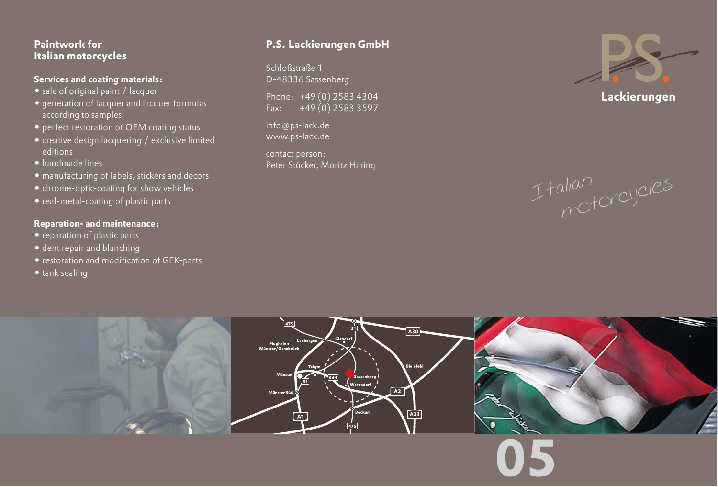## **Paintwork for Italian motorcycles**

#### **Services and coating materials:**

- sale of original paint / lacquer
- generation of lacquer and lacquer formulas according to samples
- perfect restoration of OEM coating status
- creative design lacquering / exclusive limited editions
- handmade lines
- manufacturing of labels, stickers and decors
- chrome-optic-coating for show vehicles
- real-metal-coating of plastic parts

### **Reparation- and maintenance:**

- reparation of plastic parts
- dent repair and blanching
- restoration and modification of GFK-parts
- tank sealing

# **P.S. Lackierungen GmbH**

Schloßstraße 1 D-48336 Sassenberg

Phone: +49 (0) 2583 4304 Fax: +49 (0) 2583 3597

info@ps-lack.de www.ps-lack.de

contact person: Peter Stücker, Moritz Haring



**Lackierungen**